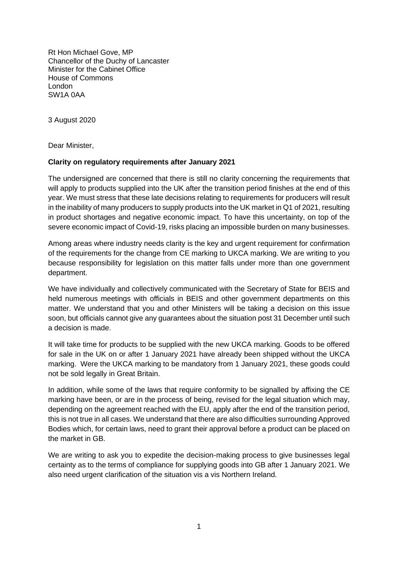Rt Hon Michael Gove, MP Chancellor of the Duchy of Lancaster Minister for the Cabinet Office House of Commons London SW1A 0AA

3 August 2020

Dear Minister,

## **Clarity on regulatory requirements after January 2021**

The undersigned are concerned that there is still no clarity concerning the requirements that will apply to products supplied into the UK after the transition period finishes at the end of this year. We must stress that these late decisions relating to requirements for producers will result in the inability of many producers to supply products into the UK market in Q1 of 2021, resulting in product shortages and negative economic impact. To have this uncertainty, on top of the severe economic impact of Covid-19, risks placing an impossible burden on many businesses.

Among areas where industry needs clarity is the key and urgent requirement for confirmation of the requirements for the change from CE marking to UKCA marking. We are writing to you because responsibility for legislation on this matter falls under more than one government department.

We have individually and collectively communicated with the Secretary of State for BEIS and held numerous meetings with officials in BEIS and other government departments on this matter. We understand that you and other Ministers will be taking a decision on this issue soon, but officials cannot give any guarantees about the situation post 31 December until such a decision is made.

It will take time for products to be supplied with the new UKCA marking. Goods to be offered for sale in the UK on or after 1 January 2021 have already been shipped without the UKCA marking. Were the UKCA marking to be mandatory from 1 January 2021, these goods could not be sold legally in Great Britain.

In addition, while some of the laws that require conformity to be signalled by affixing the CE marking have been, or are in the process of being, revised for the legal situation which may, depending on the agreement reached with the EU, apply after the end of the transition period, this is not true in all cases. We understand that there are also difficulties surrounding Approved Bodies which, for certain laws, need to grant their approval before a product can be placed on the market in GB.

We are writing to ask you to expedite the decision-making process to give businesses legal certainty as to the terms of compliance for supplying goods into GB after 1 January 2021. We also need urgent clarification of the situation vis a vis Northern Ireland.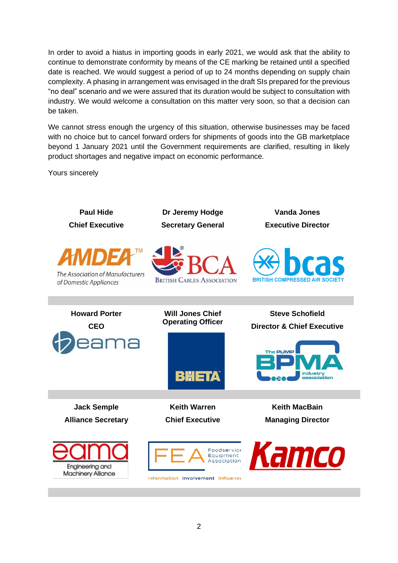In order to avoid a hiatus in importing goods in early 2021, we would ask that the ability to continue to demonstrate conformity by means of the CE marking be retained until a specified date is reached. We would suggest a period of up to 24 months depending on supply chain complexity. A phasing in arrangement was envisaged in the draft SIs prepared for the previous "no deal" scenario and we were assured that its duration would be subject to consultation with industry. We would welcome a consultation on this matter very soon, so that a decision can be taken.

We cannot stress enough the urgency of this situation, otherwise businesses may be faced with no choice but to cancel forward orders for shipments of goods into the GB marketplace beyond 1 January 2021 until the Government requirements are clarified, resulting in likely product shortages and negative impact on economic performance.

Yours sincerely